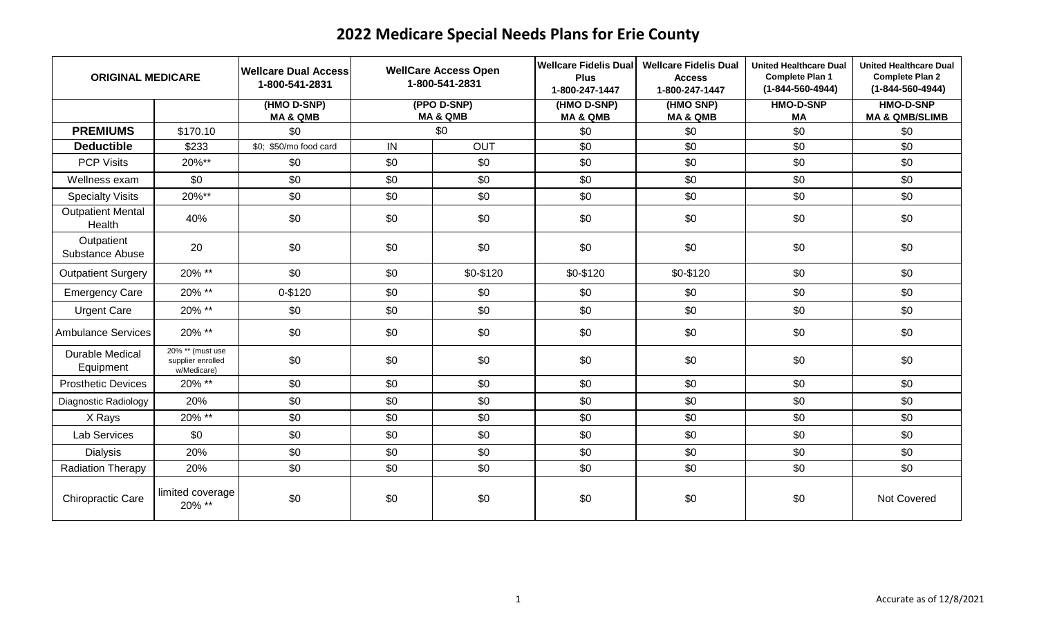| <b>ORIGINAL MEDICARE</b>           |                                                      | <b>Wellcare Dual Access</b><br>1-800-541-2831 | <b>WellCare Access Open</b><br>1-800-541-2831 |                                    | <b>Wellcare Fidelis Dual</b><br><b>Plus</b><br>1-800-247-1447 | <b>Wellcare Fidelis Dual</b><br><b>Access</b><br>1-800-247-1447 | <b>United Healthcare Dual</b><br><b>Complete Plan 1</b><br>$(1 - 844 - 560 - 4944)$ | <b>United Healthcare Dual</b><br><b>Complete Plan 2</b><br>$(1 - 844 - 560 - 4944)$ |
|------------------------------------|------------------------------------------------------|-----------------------------------------------|-----------------------------------------------|------------------------------------|---------------------------------------------------------------|-----------------------------------------------------------------|-------------------------------------------------------------------------------------|-------------------------------------------------------------------------------------|
|                                    |                                                      | (HMO D-SNP)<br><b>MA &amp; QMB</b>            |                                               | (PPO D-SNP)<br><b>MA &amp; QMB</b> | (HMO D-SNP)<br><b>MA &amp; QMB</b>                            | (HMO SNP)<br><b>MA &amp; QMB</b>                                | <b>HMO-D-SNP</b><br>MA                                                              | <b>HMO-D-SNP</b><br><b>MA &amp; QMB/SLIMB</b>                                       |
| <b>PREMIUMS</b>                    | \$170.10                                             | \$0                                           |                                               | \$0                                | \$0                                                           | \$0                                                             | \$0                                                                                 | \$0                                                                                 |
| <b>Deductible</b>                  | \$233                                                | \$0; \$50/mo food card                        | $\overline{N}$                                | <b>OUT</b>                         | $\overline{30}$                                               | \$0                                                             | \$0                                                                                 | $\overline{50}$                                                                     |
| <b>PCP Visits</b>                  | 20%**                                                | \$0                                           | \$0                                           | \$0                                | \$0                                                           | \$0                                                             | \$0                                                                                 | \$0                                                                                 |
| Wellness exam                      | \$0                                                  | \$0                                           | \$0                                           | \$0                                | \$0                                                           | \$0                                                             | \$0                                                                                 | \$0                                                                                 |
| <b>Specialty Visits</b>            | 20%**                                                | \$0                                           | \$0                                           | \$0                                | \$0                                                           | \$0                                                             | \$0                                                                                 | \$0                                                                                 |
| <b>Outpatient Mental</b><br>Health | 40%                                                  | \$0                                           | \$0                                           | \$0                                | \$0                                                           | \$0                                                             | \$0                                                                                 | \$0                                                                                 |
| Outpatient<br>Substance Abuse      | 20                                                   | \$0                                           | \$0                                           | \$0                                | \$0                                                           | \$0                                                             | \$0                                                                                 | \$0                                                                                 |
| <b>Outpatient Surgery</b>          | 20% **                                               | \$0                                           | \$0                                           | \$0-\$120                          | \$0-\$120                                                     | \$0-\$120                                                       | \$0                                                                                 | \$0                                                                                 |
| <b>Emergency Care</b>              | 20% **                                               | 0-\$120                                       | \$0                                           | \$0                                | \$0                                                           | \$0                                                             | \$0                                                                                 | \$0                                                                                 |
| <b>Urgent Care</b>                 | 20% **                                               | \$0                                           | \$0                                           | \$0                                | \$0                                                           | \$0                                                             | \$0                                                                                 | \$0                                                                                 |
| <b>Ambulance Services</b>          | 20% **                                               | \$0                                           | \$0                                           | \$0                                | \$0                                                           | \$0                                                             | \$0                                                                                 | \$0                                                                                 |
| Durable Medical<br>Equipment       | 20% ** (must use<br>supplier enrolled<br>w/Medicare) | \$0                                           | \$0                                           | \$0                                | \$0                                                           | \$0                                                             | \$0                                                                                 | \$0                                                                                 |
| <b>Prosthetic Devices</b>          | 20% **                                               | \$0                                           | \$0                                           | \$0                                | \$0                                                           | \$0                                                             | \$0                                                                                 | \$0                                                                                 |
| Diagnostic Radiology               | 20%                                                  | \$0                                           | \$0                                           | \$0                                | \$0                                                           | \$0                                                             | \$0                                                                                 | \$0                                                                                 |
| X Rays                             | 20% **                                               | \$0                                           | \$0                                           | \$0                                | \$0                                                           | \$0                                                             | \$0                                                                                 | \$0                                                                                 |
| Lab Services                       | \$0                                                  | \$0                                           | \$0                                           | \$0                                | \$0                                                           | \$0                                                             | \$0                                                                                 | \$0                                                                                 |
| <b>Dialysis</b>                    | 20%                                                  | \$0                                           | \$0                                           | \$0                                | \$0                                                           | \$0                                                             | \$0                                                                                 | \$0                                                                                 |
| <b>Radiation Therapy</b>           | 20%                                                  | \$0                                           | \$0                                           | \$0                                | \$0                                                           | \$0                                                             | \$0                                                                                 | \$0                                                                                 |
| Chiropractic Care                  | limited coverage<br>20% **                           | \$0                                           | \$0                                           | \$0                                | \$0                                                           | \$0                                                             | \$0                                                                                 | Not Covered                                                                         |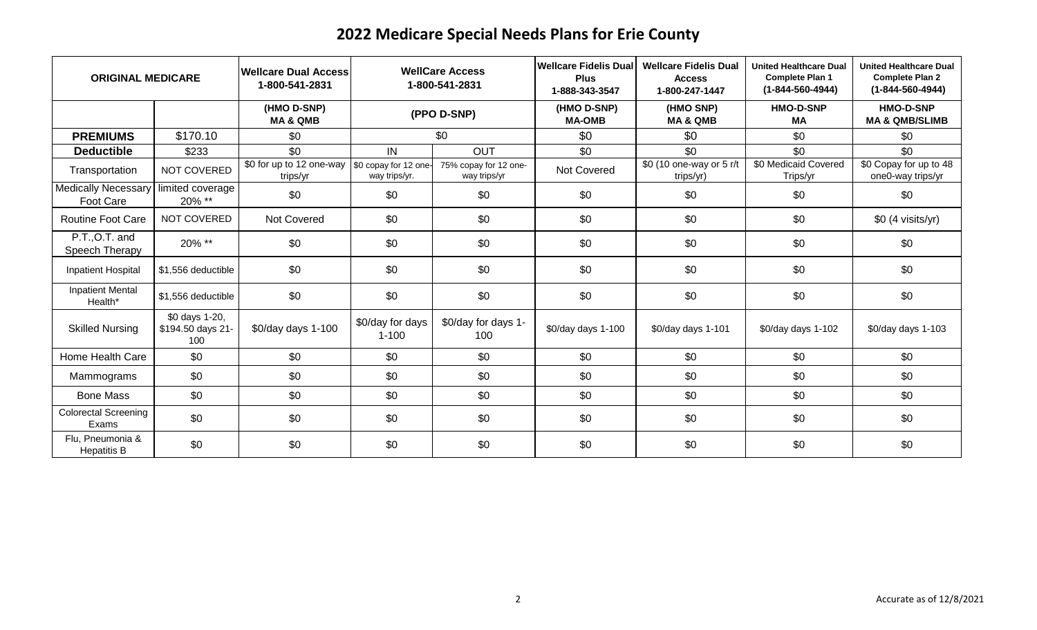| <b>ORIGINAL MEDICARE</b>                |                                            | <b>Wellcare Dual Access</b><br>1-800-541-2831 | <b>WellCare Access</b><br>1-800-541-2831 |                                       | <b>Wellcare Fidelis Dual</b><br><b>Plus</b><br>1-888-343-3547 | <b>Wellcare Fidelis Dual</b><br><b>Access</b><br>1-800-247-1447 | <b>United Healthcare Dual</b><br><b>Complete Plan 1</b><br>$(1 - 844 - 560 - 4944)$ | <b>United Healthcare Dual</b><br><b>Complete Plan 2</b><br>$(1 - 844 - 560 - 4944)$ |
|-----------------------------------------|--------------------------------------------|-----------------------------------------------|------------------------------------------|---------------------------------------|---------------------------------------------------------------|-----------------------------------------------------------------|-------------------------------------------------------------------------------------|-------------------------------------------------------------------------------------|
|                                         |                                            | (HMO D-SNP)<br><b>MA &amp; QMB</b>            |                                          | (PPO D-SNP)                           | (HMO D-SNP)<br><b>MA-OMB</b>                                  | (HMO SNP)<br><b>MA &amp; QMB</b>                                | <b>HMO-D-SNP</b><br>МA                                                              | <b>HMO-D-SNP</b><br><b>MA &amp; QMB/SLIMB</b>                                       |
| <b>PREMIUMS</b>                         | \$170.10                                   | \$0                                           |                                          | \$0                                   | \$0                                                           | \$0                                                             | \$0                                                                                 | \$0                                                                                 |
| <b>Deductible</b>                       | \$233                                      | \$0                                           | IN                                       | OUT                                   | \$0                                                           | \$0                                                             | \$0                                                                                 | \$0                                                                                 |
| Transportation                          | NOT COVERED                                | \$0 for up to 12 one-way<br>trips/yr          | \$0 copay for 12 one-<br>way trips/yr.   | 75% copay for 12 one-<br>way trips/yr | Not Covered                                                   | \$0 (10 one-way or 5 r/t<br>trips/yr)                           | \$0 Medicaid Covered<br>Trips/yr                                                    | \$0 Copay for up to 48<br>one0-way trips/yr                                         |
| <b>Medically Necessary</b><br>Foot Care | limited coverage<br>20% **                 | \$0                                           | \$0                                      | \$0                                   | \$0                                                           | \$0                                                             | \$0                                                                                 | \$0                                                                                 |
| <b>Routine Foot Care</b>                | NOT COVERED                                | Not Covered                                   | \$0                                      | \$0                                   | \$0                                                           | \$0                                                             | \$0                                                                                 | \$0 (4 visits/yr)                                                                   |
| P.T., O.T. and<br>Speech Therapy        | 20% **                                     | \$0                                           | \$0                                      | \$0                                   | \$0                                                           | \$0                                                             | \$0                                                                                 | \$0                                                                                 |
| <b>Inpatient Hospital</b>               | \$1,556 deductible                         | \$0                                           | \$0                                      | \$0                                   | \$0                                                           | \$0                                                             | \$0                                                                                 | \$0                                                                                 |
| <b>Inpatient Mental</b><br>Health*      | \$1,556 deductible                         | \$0                                           | \$0                                      | \$0                                   | \$0                                                           | \$0                                                             | \$0                                                                                 | \$0                                                                                 |
| <b>Skilled Nursing</b>                  | \$0 days 1-20,<br>\$194.50 days 21-<br>100 | \$0/day days 1-100                            | \$0/day for days<br>$1 - 100$            | \$0/day for days 1-<br>100            | \$0/day days 1-100                                            | \$0/day days 1-101                                              | \$0/day days 1-102                                                                  | \$0/day days 1-103                                                                  |
| Home Health Care                        | \$0                                        | \$0                                           | \$0                                      | \$0                                   | \$0                                                           | \$0                                                             | \$0                                                                                 | \$0                                                                                 |
| Mammograms                              | \$0                                        | \$0                                           | \$0                                      | \$0                                   | \$0                                                           | \$0                                                             | \$0                                                                                 | \$0                                                                                 |
| <b>Bone Mass</b>                        | \$0                                        | \$0                                           | \$0                                      | \$0                                   | \$0                                                           | \$0                                                             | \$0                                                                                 | \$0                                                                                 |
| <b>Colorectal Screening</b><br>Exams    | \$0                                        | \$0                                           | \$0                                      | \$0                                   | \$0                                                           | \$0                                                             | \$0                                                                                 | \$0                                                                                 |
| Flu, Pneumonia &<br><b>Hepatitis B</b>  | \$0                                        | \$0                                           | \$0                                      | \$0                                   | \$0                                                           | \$0                                                             | \$0                                                                                 | \$0                                                                                 |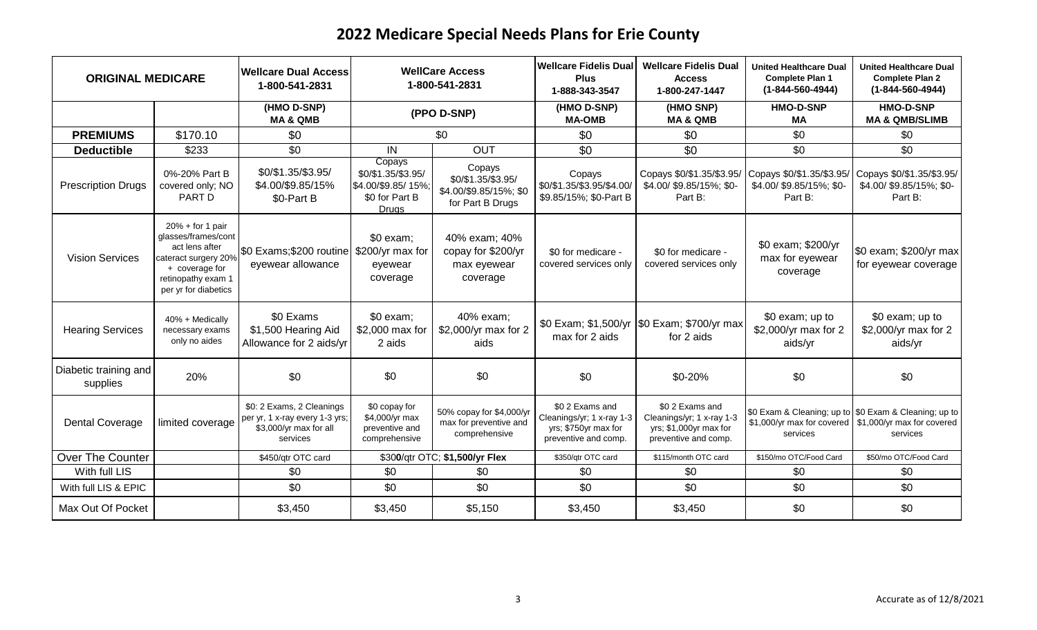| <b>ORIGINAL MEDICARE</b>          |                                                                                                                                                     | <b>Wellcare Dual Access</b><br>1-800-541-2831                                                     | <b>WellCare Access</b><br>1-800-541-2831                                             |                                                                            | <b>Wellcare Fidelis Dual</b><br><b>Plus</b><br>1-888-343-3547                                | <b>Wellcare Fidelis Dual</b><br><b>Access</b><br>1-800-247-1447                               | <b>United Healthcare Dual</b><br><b>Complete Plan 1</b><br>$(1 - 844 - 560 - 4944)$ | <b>United Healthcare Dual</b><br><b>Complete Plan 2</b><br>$(1 - 844 - 560 - 4944)$             |
|-----------------------------------|-----------------------------------------------------------------------------------------------------------------------------------------------------|---------------------------------------------------------------------------------------------------|--------------------------------------------------------------------------------------|----------------------------------------------------------------------------|----------------------------------------------------------------------------------------------|-----------------------------------------------------------------------------------------------|-------------------------------------------------------------------------------------|-------------------------------------------------------------------------------------------------|
|                                   |                                                                                                                                                     | (HMO D-SNP)<br><b>MA &amp; QMB</b>                                                                |                                                                                      | (PPO D-SNP)                                                                | (HMO D-SNP)<br><b>MA-OMB</b>                                                                 | (HMO SNP)<br><b>MA &amp; QMB</b>                                                              | <b>HMO-D-SNP</b><br>МA                                                              | <b>HMO-D-SNP</b><br><b>MA &amp; QMB/SLIMB</b>                                                   |
| <b>PREMIUMS</b>                   | \$170.10                                                                                                                                            | \$0                                                                                               |                                                                                      | \$0                                                                        | \$0                                                                                          | \$0                                                                                           | \$0                                                                                 | \$0                                                                                             |
| <b>Deductible</b>                 | \$233                                                                                                                                               | \$0                                                                                               | IN                                                                                   | OUT                                                                        | \$0                                                                                          | \$0                                                                                           | \$0                                                                                 | \$0                                                                                             |
| <b>Prescription Drugs</b>         | 0%-20% Part B<br>covered only; NO<br><b>PART D</b>                                                                                                  | \$0/\$1.35/\$3.95/<br>\$4.00/\$9.85/15%<br>\$0-Part B                                             | Copays<br>\$0/\$1.35/\$3.95/<br>\$4.00/\$9.85/15%;<br>\$0 for Part B<br><b>Drugs</b> | Copays<br>\$0/\$1.35/\$3.95/<br>\$4.00/\$9.85/15%; \$0<br>for Part B Drugs | Copays<br>\$0/\$1.35/\$3.95/\$4.00/<br>\$9.85/15%; \$0-Part B                                | Copays \$0/\$1.35/\$3.95/<br>\$4.00/ \$9.85/15%; \$0-<br>Part B:                              | Copays \$0/\$1.35/\$3.95/<br>\$4.00/ \$9.85/15%; \$0-<br>Part B:                    | Copays \$0/\$1.35/\$3.95/<br>\$4.00/ \$9.85/15%; \$0-<br>Part B:                                |
| <b>Vision Services</b>            | $20% + for 1 pair$<br>glasses/frames/cont<br>act lens after<br>cateract surgery 20%<br>+ coverage for<br>retinopathy exam 1<br>per yr for diabetics | \$0 Exams; \$200 routine \$200/yr max for<br>eyewear allowance                                    | \$0 exam;<br>eyewear<br>coverage                                                     | 40% exam; 40%<br>copay for \$200/yr<br>max eyewear<br>coverage             | \$0 for medicare -<br>covered services only                                                  | \$0 for medicare -<br>covered services only                                                   | \$0 exam; \$200/yr<br>max for eyewear<br>coverage                                   | \$0 exam; \$200/yr max<br>for eyewear coverage                                                  |
| <b>Hearing Services</b>           | 40% + Medically<br>necessary exams<br>only no aides                                                                                                 | \$0 Exams<br>\$1,500 Hearing Aid<br>Allowance for 2 aids/yr                                       | \$0 exam;<br>\$2,000 max for<br>2 aids                                               | 40% exam;<br>\$2,000/yr max for 2<br>aids                                  | max for 2 aids                                                                               | \$0 Exam; \$1,500/yr  \$0 Exam; \$700/yr max<br>for 2 aids                                    | \$0 exam; up to<br>\$2,000/yr max for 2<br>aids/yr                                  | \$0 exam; up to<br>\$2,000/yr max for 2<br>aids/yr                                              |
| Diabetic training and<br>supplies | 20%                                                                                                                                                 | \$0                                                                                               | \$0                                                                                  | \$0                                                                        | \$0                                                                                          | \$0-20%                                                                                       | \$0                                                                                 | \$0                                                                                             |
| <b>Dental Coverage</b>            | limited coverage                                                                                                                                    | \$0: 2 Exams, 2 Cleanings<br>per yr, 1 x-ray every 1-3 yrs;<br>\$3,000/yr max for all<br>services | \$0 copay for<br>\$4,000/yr max<br>preventive and<br>comprehensive                   | 50% copay for \$4,000/yr<br>max for preventive and<br>comprehensive        | \$0 2 Exams and<br>Cleanings/yr; 1 x-ray 1-3<br>yrs; \$750yr max for<br>preventive and comp. | \$02 Exams and<br>Cleanings/yr; 1 x-ray 1-3<br>yrs; \$1,000yr max for<br>preventive and comp. | \$1,000/yr max for covered<br>services                                              | \$0 Exam & Cleaning; up to \$0 Exam & Cleaning; up to<br>\$1,000/yr max for covered<br>services |
| Over The Counter                  |                                                                                                                                                     | \$450/qtr OTC card                                                                                |                                                                                      | \$300/qtr OTC; \$1,500/yr Flex                                             | \$350/qtr OTC card                                                                           | \$115/month OTC card                                                                          | \$150/mo OTC/Food Card                                                              | \$50/mo OTC/Food Card                                                                           |
| With full LIS                     |                                                                                                                                                     | \$0                                                                                               | \$0                                                                                  | \$0                                                                        | \$0                                                                                          | \$0                                                                                           | \$0                                                                                 | \$0                                                                                             |
| With full LIS & EPIC              |                                                                                                                                                     | \$0                                                                                               | \$0                                                                                  | \$0                                                                        | \$0                                                                                          | \$0                                                                                           | \$0                                                                                 | \$0                                                                                             |
| Max Out Of Pocket                 |                                                                                                                                                     | \$3,450                                                                                           | \$3,450                                                                              | \$5,150                                                                    | \$3,450                                                                                      | \$3,450                                                                                       | \$0                                                                                 | \$0                                                                                             |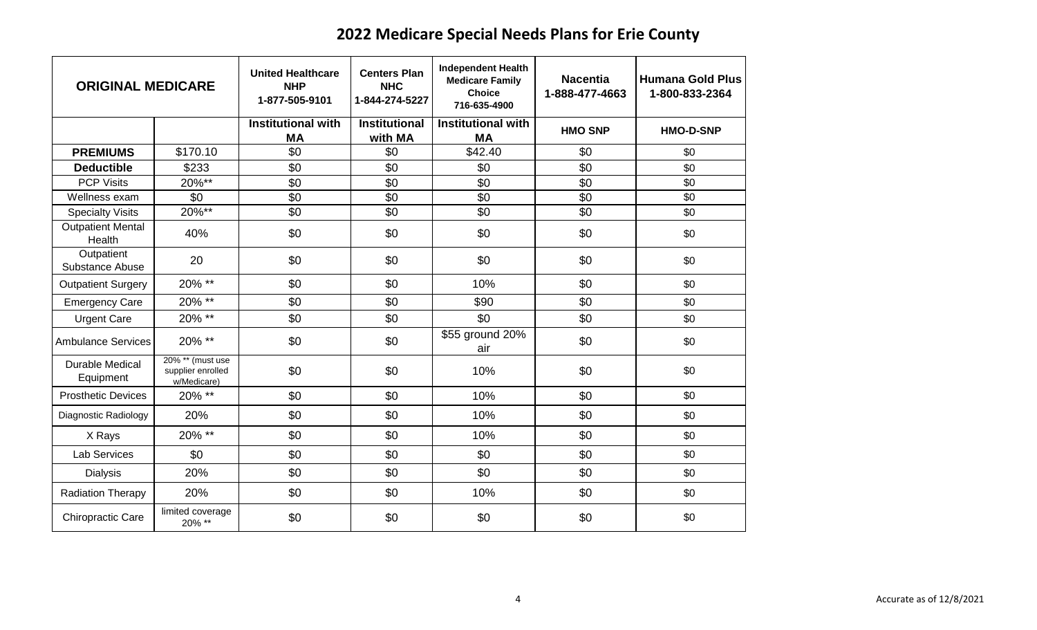| <b>ORIGINAL MEDICARE</b>            |                                                      | <b>United Healthcare</b><br><b>NHP</b><br>1-877-505-9101 | <b>Centers Plan</b><br><b>NHC</b><br>1-844-274-5227 | <b>Independent Health</b><br><b>Medicare Family</b><br><b>Choice</b><br>716-635-4900 | <b>Nacentia</b><br>1-888-477-4663 | <b>Humana Gold Plus</b><br>1-800-833-2364 |
|-------------------------------------|------------------------------------------------------|----------------------------------------------------------|-----------------------------------------------------|--------------------------------------------------------------------------------------|-----------------------------------|-------------------------------------------|
|                                     |                                                      | <b>Institutional with</b><br><b>MA</b>                   | <b>Institutional</b><br>with MA                     | <b>Institutional with</b><br>MA                                                      | <b>HMO SNP</b>                    | <b>HMO-D-SNP</b>                          |
| <b>PREMIUMS</b>                     | \$170.10                                             | \$0                                                      | \$0                                                 | \$42.40                                                                              | \$0                               | \$0                                       |
| <b>Deductible</b>                   | \$233                                                | \$0                                                      | \$0                                                 | \$0                                                                                  | \$0                               | \$0                                       |
| <b>PCP Visits</b>                   | $20\%**$                                             | \$0                                                      | \$0                                                 | \$0                                                                                  | \$0                               | \$0                                       |
| Wellness exam                       | \$0                                                  | \$0                                                      | \$0                                                 | \$0                                                                                  | \$0                               | \$0                                       |
| <b>Specialty Visits</b>             | $20\%^{**}$                                          | \$0                                                      | \$0                                                 | \$0                                                                                  | \$0                               | \$0                                       |
| <b>Outpatient Mental</b><br>Health  | 40%                                                  | \$0                                                      | \$0                                                 | \$0                                                                                  | \$0                               | \$0                                       |
| Outpatient<br>Substance Abuse       | 20                                                   | \$0                                                      | \$0                                                 | \$0                                                                                  | \$0                               | \$0                                       |
| <b>Outpatient Surgery</b>           | 20% **                                               | \$0                                                      | \$0                                                 | 10%                                                                                  | \$0                               | \$0                                       |
| <b>Emergency Care</b>               | $20\%$ **                                            | \$0                                                      | \$0                                                 | \$90                                                                                 | \$0                               | \$0                                       |
| <b>Urgent Care</b>                  | 20% **                                               | \$0                                                      | \$0                                                 | \$0                                                                                  | \$0                               | \$0                                       |
| <b>Ambulance Services</b>           | 20% **                                               | \$0                                                      | \$0                                                 | \$55 ground 20%<br>air                                                               | \$0                               | \$0                                       |
| <b>Durable Medical</b><br>Equipment | 20% ** (must use<br>supplier enrolled<br>w/Medicare) | \$0                                                      | \$0                                                 | 10%                                                                                  | \$0                               | \$0                                       |
| <b>Prosthetic Devices</b>           | 20% **                                               | \$0                                                      | \$0                                                 | 10%                                                                                  | \$0                               | \$0                                       |
| Diagnostic Radiology                | 20%                                                  | \$0                                                      | \$0                                                 | 10%                                                                                  | \$0                               | \$0                                       |
| X Rays                              | 20% **                                               | \$0                                                      | \$0                                                 | 10%                                                                                  | \$0                               | \$0                                       |
| <b>Lab Services</b>                 | \$0                                                  | \$0                                                      | \$0                                                 | \$0                                                                                  | \$0                               | \$0                                       |
| <b>Dialysis</b>                     | 20%                                                  | \$0                                                      | \$0                                                 | \$0                                                                                  | \$0                               | \$0                                       |
| <b>Radiation Therapy</b>            | 20%                                                  | \$0                                                      | \$0                                                 | 10%                                                                                  | \$0                               | \$0                                       |
| Chiropractic Care                   | limited coverage<br>20% **                           | \$0                                                      | \$0                                                 | \$0                                                                                  | \$0                               | \$0                                       |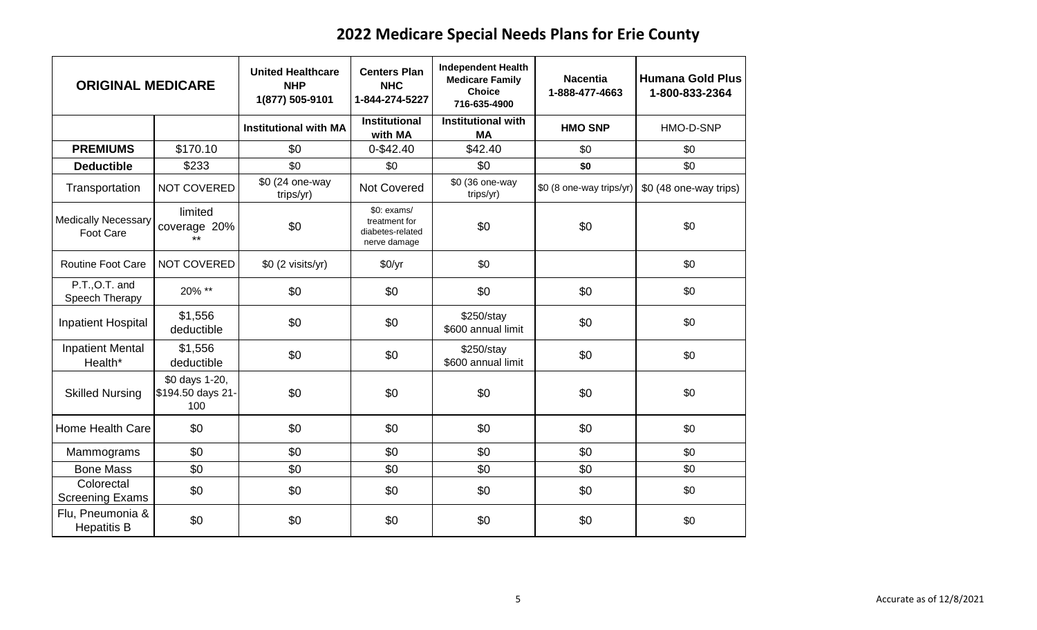| <b>ORIGINAL MEDICARE</b>                       |                                            | <b>United Healthcare</b><br><b>NHP</b><br>1(877) 505-9101 | <b>Centers Plan</b><br><b>NHC</b><br>1-844-274-5227               | <b>Independent Health</b><br><b>Medicare Family</b><br><b>Choice</b><br>716-635-4900 | <b>Nacentia</b><br>1-888-477-4663 | <b>Humana Gold Plus</b><br>1-800-833-2364 |
|------------------------------------------------|--------------------------------------------|-----------------------------------------------------------|-------------------------------------------------------------------|--------------------------------------------------------------------------------------|-----------------------------------|-------------------------------------------|
|                                                |                                            | <b>Institutional with MA</b>                              | <b>Institutional</b><br>with MA                                   | <b>Institutional with</b><br><b>MA</b>                                               | <b>HMO SNP</b>                    | HMO-D-SNP                                 |
| <b>PREMIUMS</b>                                | \$170.10                                   | \$0                                                       | 0-\$42.40                                                         | \$42.40                                                                              | \$0                               | \$0                                       |
| <b>Deductible</b>                              | \$233                                      | \$0                                                       | \$0                                                               | \$0                                                                                  | \$0                               | \$0                                       |
| Transportation                                 | NOT COVERED                                | \$0 (24 one-way<br>trips/yr)                              | Not Covered                                                       | \$0 (36 one-way<br>trips/yr)                                                         | \$0 (8 one-way trips/yr)          | \$0 (48 one-way trips)                    |
| <b>Medically Necessary</b><br><b>Foot Care</b> | limited<br>coverage 20%<br>$***$           | \$0                                                       | $$0:$ exams/<br>treatment for<br>diabetes-related<br>nerve damage | \$0                                                                                  | \$0                               | \$0                                       |
| <b>Routine Foot Care</b>                       | <b>NOT COVERED</b>                         | \$0 (2 visits/yr)                                         | \$0/yr                                                            | \$0                                                                                  |                                   | \$0                                       |
| P.T., O.T. and<br>Speech Therapy               | 20% **                                     | \$0                                                       | \$0                                                               | \$0                                                                                  | \$0                               | \$0                                       |
| Inpatient Hospital                             | \$1,556<br>deductible                      | \$0                                                       | \$0                                                               | \$250/stay<br>\$600 annual limit                                                     | \$0                               | \$0                                       |
| <b>Inpatient Mental</b><br>Health*             | \$1,556<br>deductible                      | \$0                                                       | \$0                                                               | \$250/stay<br>\$600 annual limit                                                     | \$0                               | \$0                                       |
| <b>Skilled Nursing</b>                         | \$0 days 1-20,<br>\$194.50 days 21-<br>100 | \$0                                                       | \$0                                                               | \$0                                                                                  | \$0                               | \$0                                       |
| Home Health Care                               | \$0                                        | \$0                                                       | \$0                                                               | \$0                                                                                  | \$0                               | \$0                                       |
| Mammograms                                     | \$0                                        | \$0                                                       | \$0                                                               | \$0                                                                                  | \$0                               | \$0                                       |
| <b>Bone Mass</b>                               | \$0                                        | \$0                                                       | \$0                                                               | \$0                                                                                  | \$0                               | \$0                                       |
| Colorectal<br><b>Screening Exams</b>           | \$0                                        | \$0                                                       | \$0                                                               | \$0                                                                                  | \$0                               | \$0                                       |
| Flu, Pneumonia &<br><b>Hepatitis B</b>         | \$0                                        | \$0                                                       | \$0                                                               | \$0                                                                                  | \$0                               | \$0                                       |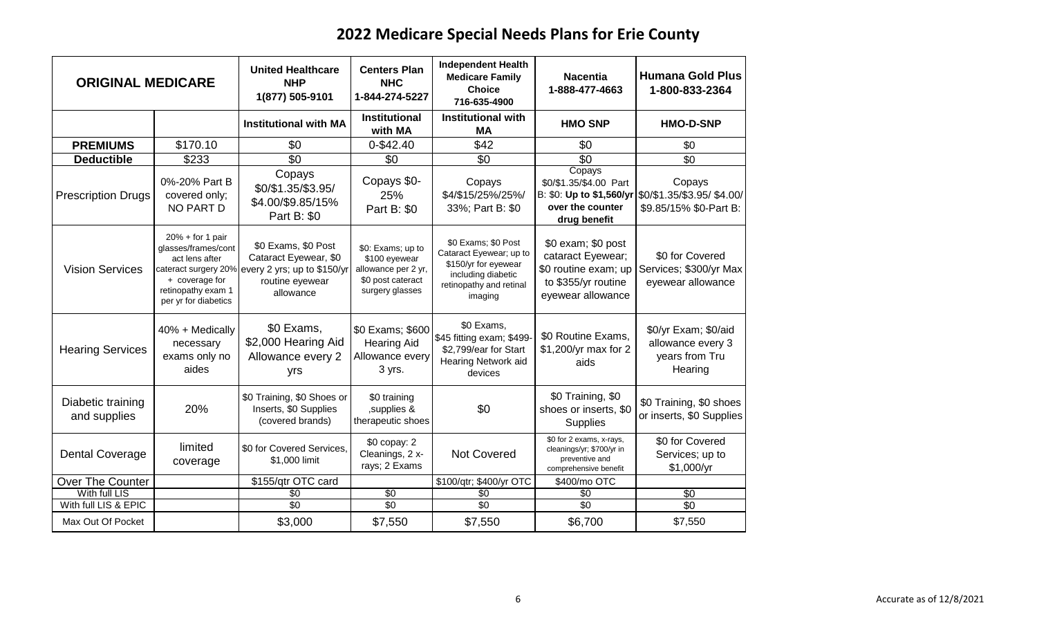| <b>ORIGINAL MEDICARE</b>          |                                                                                                                             | <b>United Healthcare</b><br><b>NHP</b><br>1(877) 505-9101                                                                        | <b>Centers Plan</b><br><b>NHC</b><br>1-844-274-5227                                               | <b>Independent Health</b><br><b>Medicare Family</b><br><b>Choice</b><br>716-635-4900                                               | <b>Nacentia</b><br>1-888-477-4663                                                                           | <b>Humana Gold Plus</b><br>1-800-833-2364                                                |
|-----------------------------------|-----------------------------------------------------------------------------------------------------------------------------|----------------------------------------------------------------------------------------------------------------------------------|---------------------------------------------------------------------------------------------------|------------------------------------------------------------------------------------------------------------------------------------|-------------------------------------------------------------------------------------------------------------|------------------------------------------------------------------------------------------|
|                                   |                                                                                                                             | <b>Institutional with MA</b>                                                                                                     | <b>Institutional</b><br>with MA                                                                   | <b>Institutional with</b><br><b>MA</b>                                                                                             | <b>HMO SNP</b>                                                                                              | <b>HMO-D-SNP</b>                                                                         |
| <b>PREMIUMS</b>                   | \$170.10                                                                                                                    | \$0                                                                                                                              | 0-\$42.40                                                                                         | \$42                                                                                                                               | \$0                                                                                                         | \$0                                                                                      |
| <b>Deductible</b>                 | \$233                                                                                                                       | $\overline{30}$                                                                                                                  | \$0                                                                                               | $\overline{50}$                                                                                                                    | $\overline{50}$                                                                                             | \$0                                                                                      |
| <b>Prescription Drugs</b>         | 0%-20% Part B<br>covered only;<br>NO PART D                                                                                 | Copays<br>\$0/\$1.35/\$3.95/<br>\$4.00/\$9.85/15%<br>Part B: \$0                                                                 | Copays \$0-<br>25%<br>Part B: \$0                                                                 | Copays<br>\$4/\$15/25%/25%/<br>33%; Part B: \$0                                                                                    | Copays<br>\$0/\$1.35/\$4.00 Part<br>over the counter<br>drug benefit                                        | Copays<br>B: \$0: Up to \$1,560/yr \\$0/\$1.35/\$3.95/ \$4.00/<br>\$9.85/15% \$0-Part B: |
| <b>Vision Services</b>            | $20% + for 1 pair$<br>glasses/frames/cont<br>act lens after<br>+ coverage for<br>retinopathy exam 1<br>per yr for diabetics | \$0 Exams, \$0 Post<br>Cataract Eyewear, \$0<br>cateract surgery 20% every 2 yrs; up to \$150/yr<br>routine eyewear<br>allowance | \$0: Exams; up to<br>\$100 eyewear<br>allowance per 2 yr,<br>\$0 post cateract<br>surgery glasses | \$0 Exams; \$0 Post<br>Cataract Eyewear; up to<br>\$150/yr for eyewear<br>including diabetic<br>retinopathy and retinal<br>imaging | \$0 exam; \$0 post<br>cataract Eyewear;<br>\$0 routine exam; up<br>to \$355/yr routine<br>eyewear allowance | \$0 for Covered<br>Services; \$300/yr Max<br>eyewear allowance                           |
| <b>Hearing Services</b>           | 40% + Medically<br>necessary<br>exams only no<br>aides                                                                      | \$0 Exams,<br>\$2,000 Hearing Aid<br>Allowance every 2<br>yrs                                                                    | \$0 Exams; \$600<br><b>Hearing Aid</b><br>Allowance every<br>3 yrs.                               | \$0 Exams,<br>\$45 fitting exam; \$499-<br>\$2,799/ear for Start<br>Hearing Network aid<br>devices                                 | \$0 Routine Exams,<br>\$1,200/yr max for 2<br>aids                                                          | \$0/yr Exam; \$0/aid<br>allowance every 3<br>years from Tru<br>Hearing                   |
| Diabetic training<br>and supplies | 20%                                                                                                                         | \$0 Training, \$0 Shoes or<br>Inserts, \$0 Supplies<br>(covered brands)                                                          | \$0 training<br>, supplies &<br>therapeutic shoes                                                 | \$0                                                                                                                                | \$0 Training, \$0<br>shoes or inserts, \$0<br>Supplies                                                      | \$0 Training, \$0 shoes<br>or inserts, \$0 Supplies                                      |
| <b>Dental Coverage</b>            | limited<br>coverage                                                                                                         | \$0 for Covered Services,<br>\$1,000 limit                                                                                       | \$0 copay: 2<br>Cleanings, 2 x-<br>rays; 2 Exams                                                  | <b>Not Covered</b>                                                                                                                 | \$0 for 2 exams, x-rays,<br>cleanings/yr; \$700/yr in<br>preventive and<br>comprehensive benefit            | \$0 for Covered<br>Services; up to<br>\$1,000/yr                                         |
| Over The Counter                  |                                                                                                                             | \$155/qtr OTC card                                                                                                               |                                                                                                   | \$100/qtr; \$400/yr OTC                                                                                                            | \$400/mo OTC                                                                                                |                                                                                          |
| With full LIS                     |                                                                                                                             | $\overline{50}$                                                                                                                  | \$0                                                                                               | $\overline{50}$                                                                                                                    | \$0                                                                                                         | $\overline{50}$                                                                          |
| With full LIS & EPIC              |                                                                                                                             | \$0                                                                                                                              | \$0                                                                                               | \$0                                                                                                                                | \$0                                                                                                         | \$0                                                                                      |
| Max Out Of Pocket                 |                                                                                                                             | \$3,000                                                                                                                          | \$7,550                                                                                           | \$7,550                                                                                                                            | \$6,700                                                                                                     | \$7,550                                                                                  |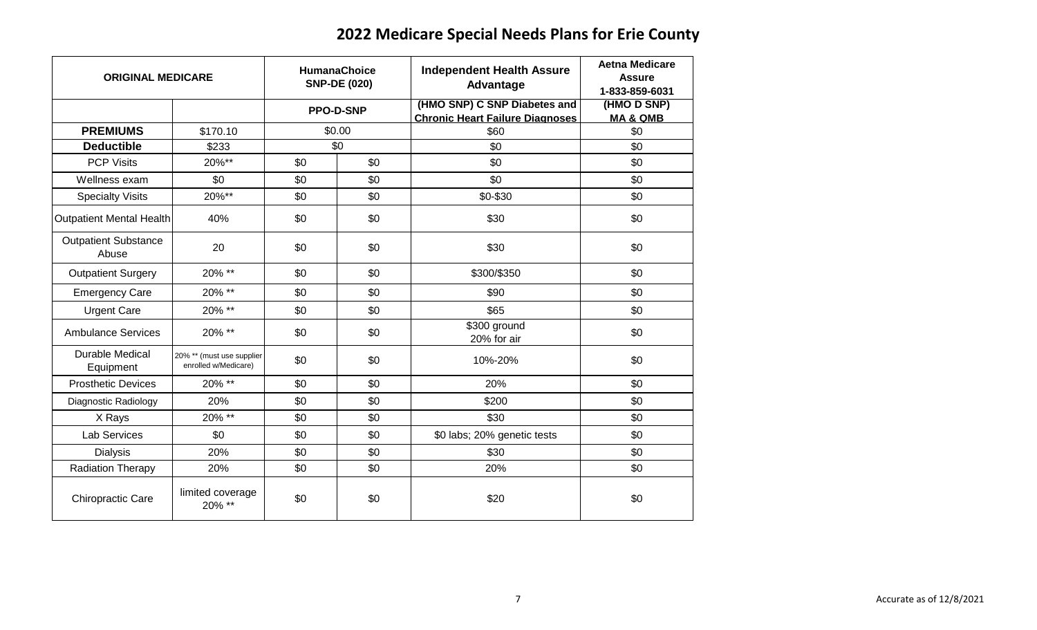| <b>ORIGINAL MEDICARE</b>             | <b>HumanaChoice</b><br><b>SNP-DE (020)</b>        |     | <b>Independent Health Assure</b><br>Advantage | <b>Aetna Medicare</b><br><b>Assure</b><br>1-833-859-6031               |                                    |
|--------------------------------------|---------------------------------------------------|-----|-----------------------------------------------|------------------------------------------------------------------------|------------------------------------|
|                                      |                                                   |     | <b>PPO-D-SNP</b>                              | (HMO SNP) C SNP Diabetes and<br><b>Chronic Heart Failure Diagnoses</b> | (HMO D SNP)<br><b>MA &amp; QMB</b> |
| <b>PREMIUMS</b>                      | \$170.10                                          |     | \$0.00                                        | \$60                                                                   | \$0                                |
| <b>Deductible</b>                    | \$233                                             |     | \$0                                           | \$0                                                                    | \$0                                |
| <b>PCP Visits</b>                    | 20%**                                             | \$0 | \$0                                           | \$0                                                                    | \$0                                |
| Wellness exam                        | \$0                                               | \$0 | \$0                                           | \$0                                                                    | \$0                                |
| <b>Specialty Visits</b>              | 20%**                                             | \$0 | \$0                                           | \$0-\$30                                                               | \$0                                |
| <b>Outpatient Mental Health</b>      | 40%                                               | \$0 | \$0                                           | \$30                                                                   | \$0                                |
| <b>Outpatient Substance</b><br>Abuse | 20                                                | \$0 | \$0                                           | \$30                                                                   | \$0                                |
| <b>Outpatient Surgery</b>            | 20% **                                            | \$0 | \$0                                           | \$300/\$350                                                            | \$0                                |
| <b>Emergency Care</b>                | 20% **                                            | \$0 | \$0                                           | \$90                                                                   | \$0                                |
| <b>Urgent Care</b>                   | 20% **                                            | \$0 | \$0                                           | \$65                                                                   | \$0                                |
| <b>Ambulance Services</b>            | 20% **                                            | \$0 | \$0                                           | \$300 ground<br>20% for air                                            | \$0                                |
| <b>Durable Medical</b><br>Equipment  | 20% ** (must use supplier<br>enrolled w/Medicare) | \$0 | \$0                                           | 10%-20%                                                                | \$0                                |
| <b>Prosthetic Devices</b>            | 20% **                                            | \$0 | \$0                                           | 20%                                                                    | \$0                                |
| Diagnostic Radiology                 | 20%                                               | \$0 | \$0                                           | \$200                                                                  | \$0                                |
| X Rays                               | 20% **                                            | \$0 | \$0                                           | \$30                                                                   | \$0                                |
| <b>Lab Services</b>                  | \$0                                               | \$0 | \$0                                           | \$0 labs; 20% genetic tests                                            | \$0                                |
| <b>Dialysis</b>                      | 20%                                               | \$0 | \$0                                           | \$30                                                                   | \$0                                |
| <b>Radiation Therapy</b>             | 20%                                               | \$0 | \$0                                           | 20%                                                                    | \$0                                |
| Chiropractic Care                    | limited coverage<br>20% **                        | \$0 | \$0                                           | \$20                                                                   | \$0                                |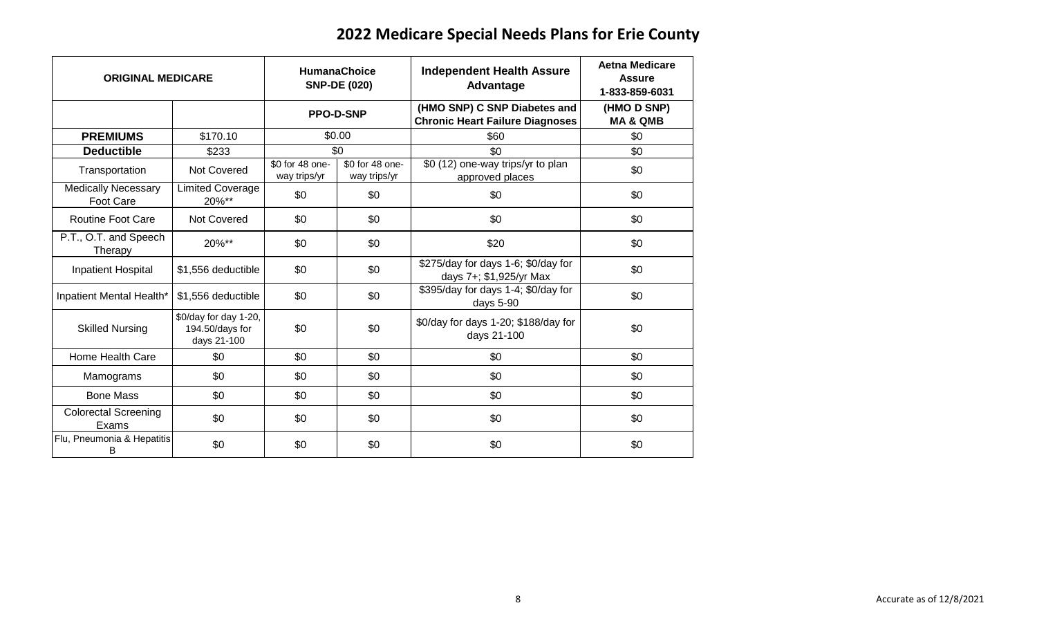| <b>ORIGINAL MEDICARE</b>                       | <b>HumanaChoice</b><br><b>SNP-DE (020)</b>              |                                 | <b>Independent Health Assure</b><br><b>Advantage</b> | <b>Aetna Medicare</b><br><b>Assure</b><br>1-833-859-6031               |                                    |
|------------------------------------------------|---------------------------------------------------------|---------------------------------|------------------------------------------------------|------------------------------------------------------------------------|------------------------------------|
|                                                |                                                         | <b>PPO-D-SNP</b>                |                                                      | (HMO SNP) C SNP Diabetes and<br><b>Chronic Heart Failure Diagnoses</b> | (HMO D SNP)<br><b>MA &amp; QMB</b> |
| <b>PREMIUMS</b>                                | \$170.10                                                |                                 | \$0.00                                               | \$60                                                                   | \$0                                |
| <b>Deductible</b>                              | \$233                                                   |                                 | \$0                                                  | \$0                                                                    | \$0                                |
| Transportation                                 | <b>Not Covered</b>                                      | \$0 for 48 one-<br>way trips/yr | \$0 for 48 one-<br>way trips/yr                      | \$0(12)<br>one-way trips/yr to plan<br>approved places                 | \$0                                |
| <b>Medically Necessary</b><br><b>Foot Care</b> | <b>Limited Coverage</b><br>20%**                        | \$0                             | \$0                                                  | \$0                                                                    | \$0                                |
| <b>Routine Foot Care</b>                       | Not Covered                                             | \$0                             | \$0                                                  | \$0                                                                    | \$0                                |
| P.T., O.T. and Speech<br>Therapy               | 20%**                                                   | \$0                             | \$0                                                  | \$20                                                                   | \$0                                |
| <b>Inpatient Hospital</b>                      | \$1,556 deductible                                      | \$0                             | \$0                                                  | \$275/day for days 1-6; \$0/day for<br>days 7+; \$1,925/yr Max         | \$0                                |
| Inpatient Mental Health*                       | \$1,556 deductible                                      | \$0                             | \$0                                                  | \$395/day for days 1-4; \$0/day for<br>days 5-90                       | \$0                                |
| <b>Skilled Nursing</b>                         | \$0/day for day 1-20,<br>194.50/days for<br>days 21-100 | \$0                             | \$0                                                  | \$0/day for days 1-20; \$188/day for<br>days 21-100                    | \$0                                |
| Home Health Care                               | \$0                                                     | \$0                             | \$0                                                  | \$0                                                                    | \$0                                |
| Mamograms                                      | \$0                                                     | \$0                             | \$0                                                  | \$0                                                                    | \$0                                |
| <b>Bone Mass</b>                               | \$0                                                     | \$0                             | \$0                                                  | \$0                                                                    | \$0                                |
| <b>Colorectal Screening</b><br>Exams           | \$0                                                     | \$0                             | \$0                                                  | \$0                                                                    | \$0                                |
| Flu, Pneumonia & Hepatitis<br>В                | \$0                                                     | \$0                             | \$0                                                  | \$0                                                                    | \$0                                |